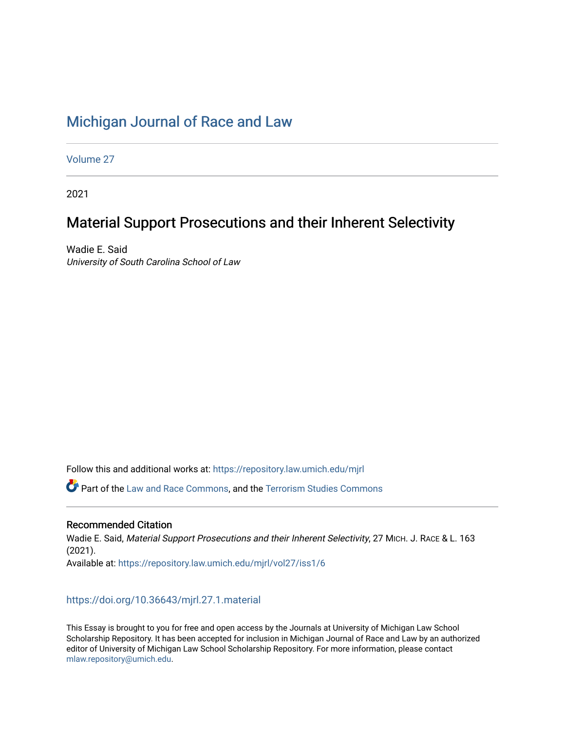## [Michigan Journal of Race and Law](https://repository.law.umich.edu/mjrl)

[Volume 27](https://repository.law.umich.edu/mjrl/vol27)

2021

# Material Support Prosecutions and their Inherent Selectivity

Wadie E. Said University of South Carolina School of Law

Follow this and additional works at: [https://repository.law.umich.edu/mjrl](https://repository.law.umich.edu/mjrl?utm_source=repository.law.umich.edu%2Fmjrl%2Fvol27%2Fiss1%2F6&utm_medium=PDF&utm_campaign=PDFCoverPages) 

Part of the [Law and Race Commons,](https://network.bepress.com/hgg/discipline/1300?utm_source=repository.law.umich.edu%2Fmjrl%2Fvol27%2Fiss1%2F6&utm_medium=PDF&utm_campaign=PDFCoverPages) and the [Terrorism Studies Commons](https://network.bepress.com/hgg/discipline/1389?utm_source=repository.law.umich.edu%2Fmjrl%2Fvol27%2Fiss1%2F6&utm_medium=PDF&utm_campaign=PDFCoverPages) 

#### Recommended Citation

Wadie E. Said, Material Support Prosecutions and their Inherent Selectivity, 27 MICH. J. RACE & L. 163 (2021). Available at: [https://repository.law.umich.edu/mjrl/vol27/iss1/6](https://repository.law.umich.edu/mjrl/vol27/iss1/6?utm_source=repository.law.umich.edu%2Fmjrl%2Fvol27%2Fiss1%2F6&utm_medium=PDF&utm_campaign=PDFCoverPages) 

### <https://doi.org/10.36643/mjrl.27.1.material>

This Essay is brought to you for free and open access by the Journals at University of Michigan Law School Scholarship Repository. It has been accepted for inclusion in Michigan Journal of Race and Law by an authorized editor of University of Michigan Law School Scholarship Repository. For more information, please contact [mlaw.repository@umich.edu.](mailto:mlaw.repository@umich.edu)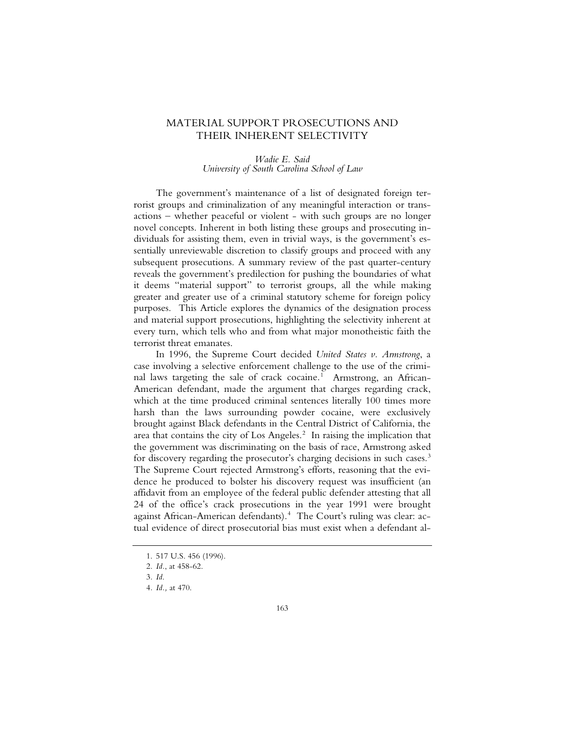### MATERIAL SUPPORT PROSECUTIONS AND THEIR INHERENT SELECTIVITY

#### *Wadie E. Said University of South Carolina School of Law*

The government's maintenance of a list of designated foreign terrorist groups and criminalization of any meaningful interaction or transactions – whether peaceful or violent - with such groups are no longer novel concepts. Inherent in both listing these groups and prosecuting individuals for assisting them, even in trivial ways, is the government's essentially unreviewable discretion to classify groups and proceed with any subsequent prosecutions. A summary review of the past quarter-century reveals the government's predilection for pushing the boundaries of what it deems "material support" to terrorist groups, all the while making greater and greater use of a criminal statutory scheme for foreign policy purposes. This Article explores the dynamics of the designation process and material support prosecutions, highlighting the selectivity inherent at every turn, which tells who and from what major monotheistic faith the terrorist threat emanates.

In 1996, the Supreme Court decided *United States v. Armstrong*, a case involving a selective enforcement challenge to the use of the criminal laws targeting the sale of crack cocaine.<sup>1</sup> Armstrong, an African-American defendant, made the argument that charges regarding crack, which at the time produced criminal sentences literally 100 times more harsh than the laws surrounding powder cocaine, were exclusively brought against Black defendants in the Central District of California, the area that contains the city of Los Angeles. $<sup>2</sup>$  In raising the implication that</sup> the government was discriminating on the basis of race, Armstrong asked for discovery regarding the prosecutor's charging decisions in such cases.<sup>3</sup> The Supreme Court rejected Armstrong's efforts, reasoning that the evidence he produced to bolster his discovery request was insufficient (an affidavit from an employee of the federal public defender attesting that all 24 of the office's crack prosecutions in the year 1991 were brought against African-American defendants).<sup>4</sup> The Court's ruling was clear: actual evidence of direct prosecutorial bias must exist when a defendant al-

<sup>1. 517</sup> U.S. 456 (1996).

<sup>2</sup>*. Id.*, at 458-62.

<sup>3</sup>*. Id*.

<sup>4</sup>*. Id.,* at 470.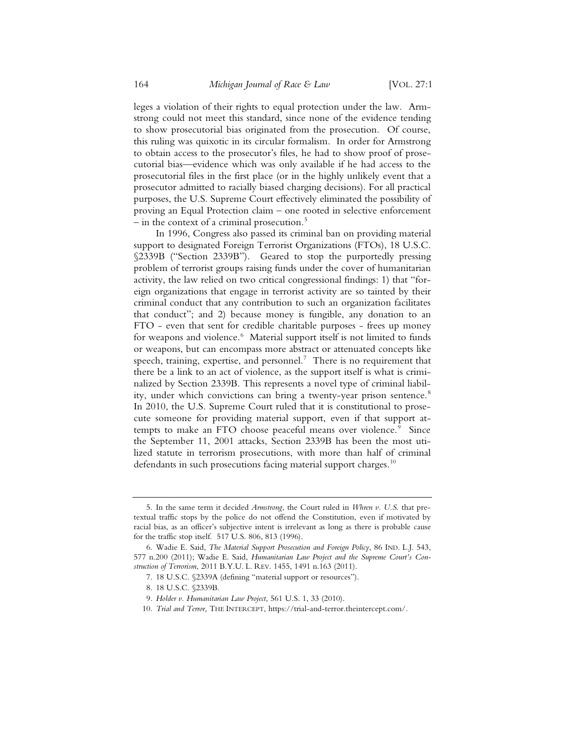leges a violation of their rights to equal protection under the law. Armstrong could not meet this standard, since none of the evidence tending to show prosecutorial bias originated from the prosecution. Of course, this ruling was quixotic in its circular formalism. In order for Armstrong to obtain access to the prosecutor's files, he had to show proof of prosecutorial bias—evidence which was only available if he had access to the prosecutorial files in the first place (or in the highly unlikely event that a prosecutor admitted to racially biased charging decisions). For all practical purposes, the U.S. Supreme Court effectively eliminated the possibility of proving an Equal Protection claim – one rooted in selective enforcement  $-$  in the context of a criminal prosecution.<sup>5</sup>

In 1996, Congress also passed its criminal ban on providing material support to designated Foreign Terrorist Organizations (FTOs), 18 U.S.C. §2339B ("Section 2339B"). Geared to stop the purportedly pressing problem of terrorist groups raising funds under the cover of humanitarian activity, the law relied on two critical congressional findings: 1) that "foreign organizations that engage in terrorist activity are so tainted by their criminal conduct that any contribution to such an organization facilitates that conduct"; and 2) because money is fungible, any donation to an FTO - even that sent for credible charitable purposes - frees up money for weapons and violence.<sup>6</sup> Material support itself is not limited to funds or weapons, but can encompass more abstract or attenuated concepts like speech, training, expertise, and personnel.<sup>7</sup> There is no requirement that there be a link to an act of violence, as the support itself is what is criminalized by Section 2339B. This represents a novel type of criminal liability, under which convictions can bring a twenty-year prison sentence.<sup>8</sup> In 2010, the U.S. Supreme Court ruled that it is constitutional to prosecute someone for providing material support, even if that support attempts to make an FTO choose peaceful means over violence.<sup>9</sup> Since the September 11, 2001 attacks, Section 2339B has been the most utilized statute in terrorism prosecutions, with more than half of criminal defendants in such prosecutions facing material support charges.<sup>10</sup>

<sup>5.</sup> In the same term it decided *Armstrong*, the Court ruled in *Whren v. U.S*. that pretextual traffic stops by the police do not offend the Constitution, even if motivated by racial bias, as an officer's subjective intent is irrelevant as long as there is probable cause for the traffic stop itself. 517 U.S. 806, 813 (1996).

<sup>6.</sup> Wadie E. Said, *The Material Support Prosecution and Foreign Policy*, 86 IND. L.J. 543, 577 n.200 (2011); Wadie E. Said, *Humanitarian Law Project and the Supreme Court's Construction of Terrorism*, 2011 B.Y.U. L. REV. 1455, 1491 n.163 (2011).

<sup>7. 18</sup> U.S.C. §2339A (defining "material support or resources").

<sup>8. 18</sup> U.S.C. §2339B.

<sup>9</sup>*. Holder v. Humanitarian Law Project*, 561 U.S. 1, 33 (2010).

<sup>10</sup>*. Trial and Terror,* THE INTERCEPT, https://trial-and-terror.theintercept.com/.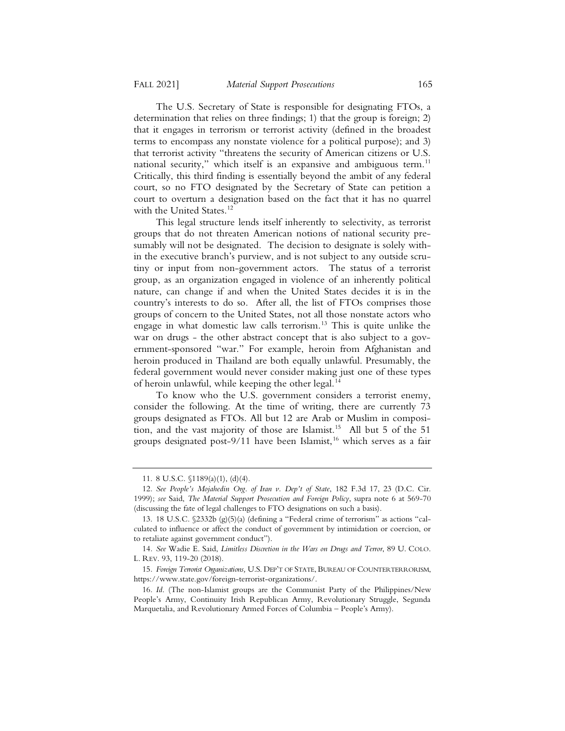The U.S. Secretary of State is responsible for designating FTOs, a determination that relies on three findings; 1) that the group is foreign; 2) that it engages in terrorism or terrorist activity (defined in the broadest terms to encompass any nonstate violence for a political purpose); and 3) that terrorist activity "threatens the security of American citizens or U.S. national security," which itself is an expansive and ambiguous term. $11$ Critically, this third finding is essentially beyond the ambit of any federal court, so no FTO designated by the Secretary of State can petition a court to overturn a designation based on the fact that it has no quarrel with the United States.<sup>12</sup>

This legal structure lends itself inherently to selectivity, as terrorist groups that do not threaten American notions of national security presumably will not be designated. The decision to designate is solely within the executive branch's purview, and is not subject to any outside scrutiny or input from non-government actors. The status of a terrorist group, as an organization engaged in violence of an inherently political nature, can change if and when the United States decides it is in the country's interests to do so. After all, the list of FTOs comprises those groups of concern to the United States, not all those nonstate actors who engage in what domestic law calls terrorism.13 This is quite unlike the war on drugs - the other abstract concept that is also subject to a government-sponsored "war." For example, heroin from Afghanistan and heroin produced in Thailand are both equally unlawful. Presumably, the federal government would never consider making just one of these types of heroin unlawful, while keeping the other legal.<sup>14</sup>

To know who the U.S. government considers a terrorist enemy, consider the following. At the time of writing, there are currently 73 groups designated as FTOs. All but 12 are Arab or Muslim in composition, and the vast majority of those are Islamist.<sup>15</sup> All but 5 of the 51 groups designated post-9/11 have been Islamist,<sup>16</sup> which serves as a fair

<sup>11. 8</sup> U.S.C. §1189(a)(1), (d)(4).

<sup>12</sup>*. See People's Mojahedin Org. of Iran v. Dep't of State*, 182 F.3d 17, 23 (D.C. Cir. 1999); *see* Said, *The Material Support Prosecution and Foreign Policy*, supra note 6 at 569-70 (discussing the fate of legal challenges to FTO designations on such a basis).

<sup>13. 18</sup> U.S.C. §2332b (g)(5)(a) (defining a "Federal crime of terrorism" as actions "calculated to influence or affect the conduct of government by intimidation or coercion, or to retaliate against government conduct").

<sup>14</sup>*. See* Wadie E. Said, *Limitless Discretion in the Wars on Drugs and Terror*, 89 U. COLO. L. REV. 93, 119-20 (2018).

<sup>15</sup>*. Foreign Terrorist Organizations,* U.S. DEP'T OF STATE, BUREAU OF COUNTERTERRORISM, https://www.state.gov/foreign-terrorist-organizations/.

<sup>16</sup>*. Id*. (The non-Islamist groups are the Communist Party of the Philippines/New People's Army, Continuity Irish Republican Army, Revolutionary Struggle, Segunda Marquetalia, and Revolutionary Armed Forces of Columbia – People's Army).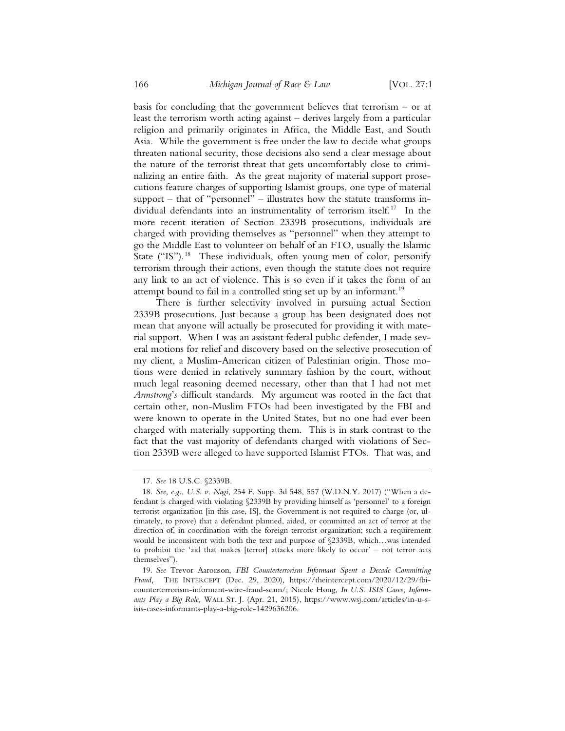basis for concluding that the government believes that terrorism – or at least the terrorism worth acting against – derives largely from a particular religion and primarily originates in Africa, the Middle East, and South Asia. While the government is free under the law to decide what groups threaten national security, those decisions also send a clear message about the nature of the terrorist threat that gets uncomfortably close to criminalizing an entire faith. As the great majority of material support prosecutions feature charges of supporting Islamist groups, one type of material support – that of "personnel" – illustrates how the statute transforms individual defendants into an instrumentality of terrorism itself.<sup>17</sup> In the more recent iteration of Section 2339B prosecutions, individuals are charged with providing themselves as "personnel" when they attempt to go the Middle East to volunteer on behalf of an FTO, usually the Islamic State ("IS").<sup>18</sup> These individuals, often young men of color, personify terrorism through their actions, even though the statute does not require any link to an act of violence. This is so even if it takes the form of an attempt bound to fail in a controlled sting set up by an informant.<sup>19</sup>

There is further selectivity involved in pursuing actual Section 2339B prosecutions. Just because a group has been designated does not mean that anyone will actually be prosecuted for providing it with material support. When I was an assistant federal public defender, I made several motions for relief and discovery based on the selective prosecution of my client, a Muslim-American citizen of Palestinian origin. Those motions were denied in relatively summary fashion by the court, without much legal reasoning deemed necessary, other than that I had not met *Armstrong*'*s* difficult standards. My argument was rooted in the fact that certain other, non-Muslim FTOs had been investigated by the FBI and were known to operate in the United States, but no one had ever been charged with materially supporting them. This is in stark contrast to the fact that the vast majority of defendants charged with violations of Section 2339B were alleged to have supported Islamist FTOs. That was, and

<sup>17</sup>*. See* 18 U.S.C. §2339B.

<sup>18</sup>*. See, e.g.*, *U.S. v. Nagi*, 254 F. Supp. 3d 548, 557 (W.D.N.Y. 2017) ("When a defendant is charged with violating §2339B by providing himself as 'personnel' to a foreign terrorist organization [in this case, IS], the Government is not required to charge (or, ultimately, to prove) that a defendant planned, aided, or committed an act of terror at the direction of, in coordination with the foreign terrorist organization; such a requirement would be inconsistent with both the text and purpose of §2339B, which…was intended to prohibit the 'aid that makes [terror] attacks more likely to occur' – not terror acts themselves").

<sup>19</sup>*. See* Trevor Aaronson, *FBI Counterterrorism Informant Spent a Decade Committing Fraud*, THE INTERCEPT (Dec. 29, 2020), https://theintercept.com/2020/12/29/fbicounterterrorism-informant-wire-fraud-scam/; Nicole Hong, *In U.S. ISIS Cases, Informants Play a Big Role,* WALL ST. J. (Apr. 21, 2015), https://www.wsj.com/articles/in-u-sisis-cases-informants-play-a-big-role-1429636206.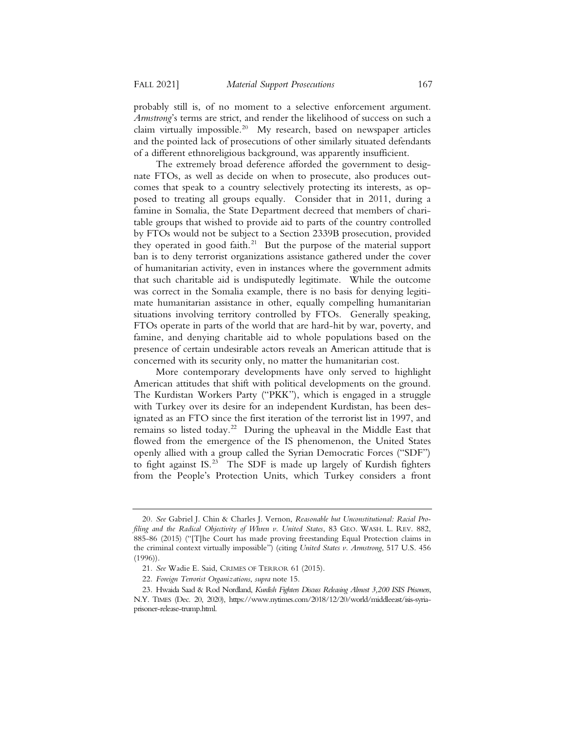probably still is, of no moment to a selective enforcement argument. *Armstrong*'s terms are strict, and render the likelihood of success on such a claim virtually impossible.<sup>20</sup> My research, based on newspaper articles and the pointed lack of prosecutions of other similarly situated defendants of a different ethnoreligious background, was apparently insufficient.

The extremely broad deference afforded the government to designate FTOs, as well as decide on when to prosecute, also produces outcomes that speak to a country selectively protecting its interests, as opposed to treating all groups equally. Consider that in 2011, during a famine in Somalia, the State Department decreed that members of charitable groups that wished to provide aid to parts of the country controlled by FTOs would not be subject to a Section 2339B prosecution, provided they operated in good faith.<sup>21</sup> But the purpose of the material support ban is to deny terrorist organizations assistance gathered under the cover of humanitarian activity, even in instances where the government admits that such charitable aid is undisputedly legitimate. While the outcome was correct in the Somalia example, there is no basis for denying legitimate humanitarian assistance in other, equally compelling humanitarian situations involving territory controlled by FTOs. Generally speaking, FTOs operate in parts of the world that are hard-hit by war, poverty, and famine, and denying charitable aid to whole populations based on the presence of certain undesirable actors reveals an American attitude that is concerned with its security only, no matter the humanitarian cost.

More contemporary developments have only served to highlight American attitudes that shift with political developments on the ground. The Kurdistan Workers Party ("PKK"), which is engaged in a struggle with Turkey over its desire for an independent Kurdistan, has been designated as an FTO since the first iteration of the terrorist list in 1997, and remains so listed today.<sup>22</sup> During the upheaval in the Middle East that flowed from the emergence of the IS phenomenon, the United States openly allied with a group called the Syrian Democratic Forces ("SDF") to fight against IS.<sup>23</sup> The SDF is made up largely of Kurdish fighters from the People's Protection Units, which Turkey considers a front

<sup>20</sup>*. See* Gabriel J. Chin & Charles J. Vernon, *Reasonable but Unconstitutional: Racial Profiling and the Radical Objectivity of Whren v. United States*, 83 GEO. WASH. L. REV. 882, 885-86 (2015) ("[T]he Court has made proving freestanding Equal Protection claims in the criminal context virtually impossible") (citing *United States v. Armstrong*, 517 U.S. 456 (1996)).

<sup>21</sup>*. See* Wadie E. Said, CRIMES OF TERROR 61 (2015).

<sup>22</sup>*. Foreign Terrorist Organizations*, *supra* note 15.

<sup>23.</sup> Hwaida Saad & Rod Nordland, *Kurdish Fighters Discuss Releasing Almost 3,200 ISIS Prisoners*, N.Y. TIMES (Dec. 20, 2020), https://www.nytimes.com/2018/12/20/world/middleeast/isis-syriaprisoner-release-trump.html.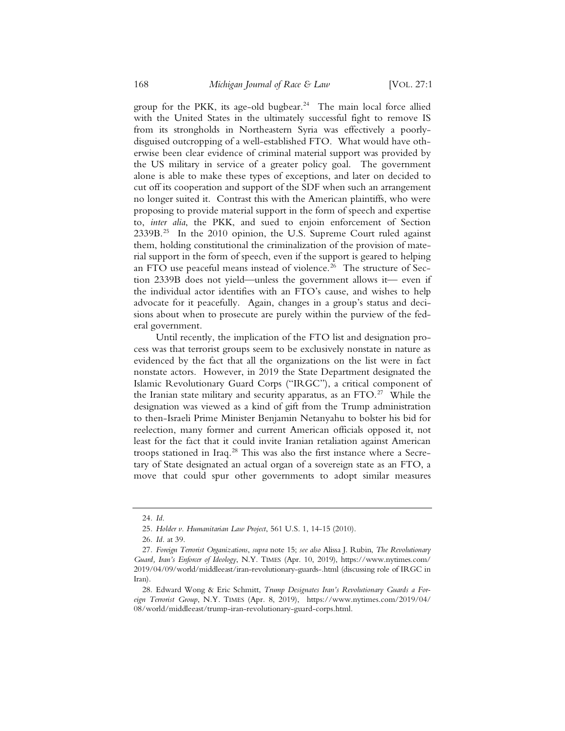group for the PKK, its age-old bugbear.<sup>24</sup> The main local force allied with the United States in the ultimately successful fight to remove IS from its strongholds in Northeastern Syria was effectively a poorlydisguised outcropping of a well-established FTO. What would have otherwise been clear evidence of criminal material support was provided by the US military in service of a greater policy goal. The government alone is able to make these types of exceptions, and later on decided to cut off its cooperation and support of the SDF when such an arrangement no longer suited it. Contrast this with the American plaintiffs, who were proposing to provide material support in the form of speech and expertise to, *inter alia*, the PKK, and sued to enjoin enforcement of Section  $2339B<sup>25</sup>$  In the 2010 opinion, the U.S. Supreme Court ruled against them, holding constitutional the criminalization of the provision of material support in the form of speech, even if the support is geared to helping an FTO use peaceful means instead of violence.<sup>26</sup> The structure of Section 2339B does not yield—unless the government allows it— even if the individual actor identifies with an FTO's cause, and wishes to help advocate for it peacefully. Again, changes in a group's status and decisions about when to prosecute are purely within the purview of the federal government.

Until recently, the implication of the FTO list and designation process was that terrorist groups seem to be exclusively nonstate in nature as evidenced by the fact that all the organizations on the list were in fact nonstate actors. However, in 2019 the State Department designated the Islamic Revolutionary Guard Corps ("IRGC"), a critical component of the Iranian state military and security apparatus, as an FTO.<sup>27</sup> While the designation was viewed as a kind of gift from the Trump administration to then-Israeli Prime Minister Benjamin Netanyahu to bolster his bid for reelection, many former and current American officials opposed it, not least for the fact that it could invite Iranian retaliation against American troops stationed in Iraq.28 This was also the first instance where a Secretary of State designated an actual organ of a sovereign state as an FTO, a move that could spur other governments to adopt similar measures

<sup>24</sup>*. Id*.

<sup>25</sup>*. Holder v. Humanitarian Law Project*, 561 U.S. 1, 14-15 (2010).

<sup>26</sup>*. Id.* at 39.

<sup>27</sup>*. Foreign Terrorist Organizations*, *supra* note 15; *see also* Alissa J. Rubin, *The Revolutionary Guard, Iran's Enforcer of Ideology*, N.Y. TIMES (Apr. 10, 2019), https://www.nytimes.com/ 2019/04/09/world/middleeast/iran-revolutionary-guards-.html (discussing role of IRGC in Iran).

<sup>28.</sup> Edward Wong & Eric Schmitt, *Trump Designates Iran's Revolutionary Guards a Foreign Terrorist Group*, N.Y. TIMES (Apr. 8, 2019), https://www.nytimes.com/2019/04/ 08/world/middleeast/trump-iran-revolutionary-guard-corps.html.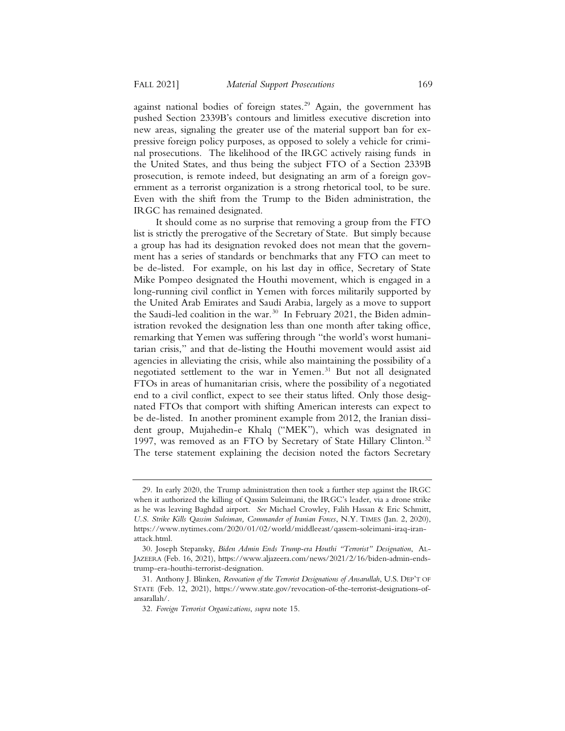against national bodies of foreign states.<sup>29</sup> Again, the government has pushed Section 2339B's contours and limitless executive discretion into new areas, signaling the greater use of the material support ban for expressive foreign policy purposes, as opposed to solely a vehicle for criminal prosecutions. The likelihood of the IRGC actively raising funds in the United States, and thus being the subject FTO of a Section 2339B prosecution, is remote indeed, but designating an arm of a foreign government as a terrorist organization is a strong rhetorical tool, to be sure. Even with the shift from the Trump to the Biden administration, the IRGC has remained designated.

It should come as no surprise that removing a group from the FTO list is strictly the prerogative of the Secretary of State. But simply because a group has had its designation revoked does not mean that the government has a series of standards or benchmarks that any FTO can meet to be de-listed. For example, on his last day in office, Secretary of State Mike Pompeo designated the Houthi movement, which is engaged in a long-running civil conflict in Yemen with forces militarily supported by the United Arab Emirates and Saudi Arabia, largely as a move to support the Saudi-led coalition in the war.<sup>30</sup> In February 2021, the Biden administration revoked the designation less than one month after taking office, remarking that Yemen was suffering through "the world's worst humanitarian crisis," and that de-listing the Houthi movement would assist aid agencies in alleviating the crisis, while also maintaining the possibility of a negotiated settlement to the war in Yemen.<sup>31</sup> But not all designated FTOs in areas of humanitarian crisis, where the possibility of a negotiated end to a civil conflict, expect to see their status lifted. Only those designated FTOs that comport with shifting American interests can expect to be de-listed. In another prominent example from 2012, the Iranian dissident group, Mujahedin-e Khalq ("MEK"), which was designated in 1997, was removed as an FTO by Secretary of State Hillary Clinton.<sup>32</sup> The terse statement explaining the decision noted the factors Secretary

<sup>29.</sup> In early 2020, the Trump administration then took a further step against the IRGC when it authorized the killing of Qassim Suleimani, the IRGC's leader, via a drone strike as he was leaving Baghdad airport. *See* Michael Crowley, Falih Hassan & Eric Schmitt, *U.S. Strike Kills Qassim Suleiman, Commander of Iranian Forces*, N.Y. TIMES (Jan. 2, 2020), https://www.nytimes.com/2020/01/02/world/middleeast/qassem-soleimani-iraq-iranattack.html.

<sup>30.</sup> Joseph Stepansky, *Biden Admin Ends Trump-era Houthi "Terrorist" Designation*, AL-JAZEERA (Feb. 16, 2021), https://www.aljazeera.com/news/2021/2/16/biden-admin-endstrump-era-houthi-terrorist-designation.

<sup>31.</sup> Anthony J. Blinken, *Revocation of the Terrorist Designations of Ansarullah*, U.S. DEP'T OF STATE (Feb. 12, 2021), https://www.state.gov/revocation-of-the-terrorist-designations-ofansarallah/.

<sup>32</sup>*. Foreign Terrorist Organizations*, *supra* note 15.